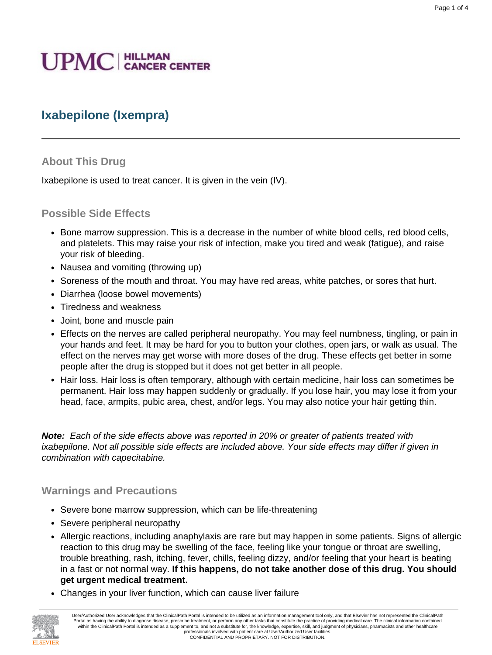# **UPMC** | HILLMAN

# **Ixabepilone (Ixempra)**

#### **About This Drug**

Ixabepilone is used to treat cancer. It is given in the vein (IV).

#### **Possible Side Effects**

- Bone marrow suppression. This is a decrease in the number of white blood cells, red blood cells, and platelets. This may raise your risk of infection, make you tired and weak (fatigue), and raise your risk of bleeding.
- Nausea and vomiting (throwing up)
- Soreness of the mouth and throat. You may have red areas, white patches, or sores that hurt.
- Diarrhea (loose bowel movements)
- Tiredness and weakness
- Joint, bone and muscle pain
- Effects on the nerves are called peripheral neuropathy. You may feel numbness, tingling, or pain in your hands and feet. It may be hard for you to button your clothes, open jars, or walk as usual. The effect on the nerves may get worse with more doses of the drug. These effects get better in some people after the drug is stopped but it does not get better in all people.
- Hair loss. Hair loss is often temporary, although with certain medicine, hair loss can sometimes be permanent. Hair loss may happen suddenly or gradually. If you lose hair, you may lose it from your head, face, armpits, pubic area, chest, and/or legs. You may also notice your hair getting thin.

**Note:** Each of the side effects above was reported in 20% or greater of patients treated with ixabepilone. Not all possible side effects are included above. Your side effects may differ if given in combination with capecitabine.

#### **Warnings and Precautions**

- Severe bone marrow suppression, which can be life-threatening
- Severe peripheral neuropathy
- Allergic reactions, including anaphylaxis are rare but may happen in some patients. Signs of allergic reaction to this drug may be swelling of the face, feeling like your tongue or throat are swelling, trouble breathing, rash, itching, fever, chills, feeling dizzy, and/or feeling that your heart is beating in a fast or not normal way. **If this happens, do not take another dose of this drug. You should get urgent medical treatment.**
- Changes in your liver function, which can cause liver failure

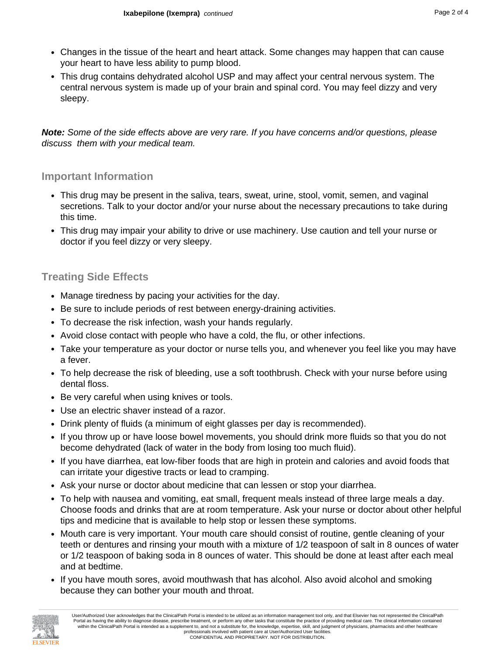- Changes in the tissue of the heart and heart attack. Some changes may happen that can cause your heart to have less ability to pump blood.
- This drug contains dehydrated alcohol USP and may affect your central nervous system. The central nervous system is made up of your brain and spinal cord. You may feel dizzy and very sleepy.

**Note:** Some of the side effects above are very rare. If you have concerns and/or questions, please discuss them with your medical team.

#### **Important Information**

- This drug may be present in the saliva, tears, sweat, urine, stool, vomit, semen, and vaginal secretions. Talk to your doctor and/or your nurse about the necessary precautions to take during this time.
- This drug may impair your ability to drive or use machinery. Use caution and tell your nurse or doctor if you feel dizzy or very sleepy.

### **Treating Side Effects**

- Manage tiredness by pacing your activities for the day.
- Be sure to include periods of rest between energy-draining activities.
- To decrease the risk infection, wash your hands regularly.
- Avoid close contact with people who have a cold, the flu, or other infections.
- Take your temperature as your doctor or nurse tells you, and whenever you feel like you may have a fever.
- To help decrease the risk of bleeding, use a soft toothbrush. Check with your nurse before using dental floss.
- Be very careful when using knives or tools.
- Use an electric shaver instead of a razor.
- Drink plenty of fluids (a minimum of eight glasses per day is recommended).
- If you throw up or have loose bowel movements, you should drink more fluids so that you do not become dehydrated (lack of water in the body from losing too much fluid).
- If you have diarrhea, eat low-fiber foods that are high in protein and calories and avoid foods that can irritate your digestive tracts or lead to cramping.
- Ask your nurse or doctor about medicine that can lessen or stop your diarrhea.
- To help with nausea and vomiting, eat small, frequent meals instead of three large meals a day. Choose foods and drinks that are at room temperature. Ask your nurse or doctor about other helpful tips and medicine that is available to help stop or lessen these symptoms.
- Mouth care is very important. Your mouth care should consist of routine, gentle cleaning of your teeth or dentures and rinsing your mouth with a mixture of 1/2 teaspoon of salt in 8 ounces of water or 1/2 teaspoon of baking soda in 8 ounces of water. This should be done at least after each meal and at bedtime.
- If you have mouth sores, avoid mouthwash that has alcohol. Also avoid alcohol and smoking because they can bother your mouth and throat.

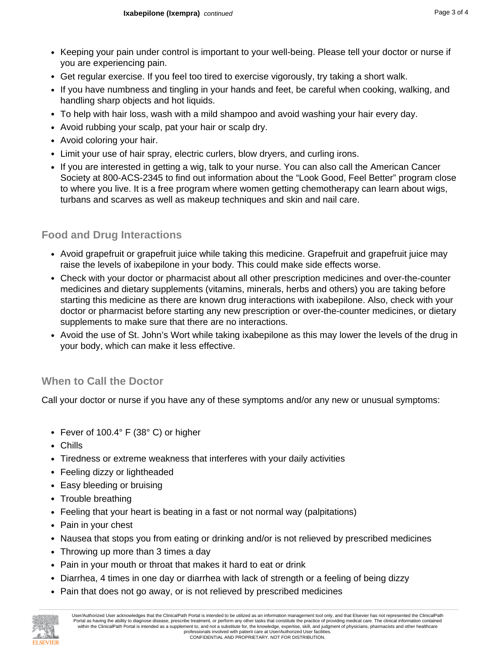- Keeping your pain under control is important to your well-being. Please tell your doctor or nurse if you are experiencing pain.
- Get regular exercise. If you feel too tired to exercise vigorously, try taking a short walk.
- If you have numbness and tingling in your hands and feet, be careful when cooking, walking, and handling sharp objects and hot liquids.
- To help with hair loss, wash with a mild shampoo and avoid washing your hair every day.
- Avoid rubbing your scalp, pat your hair or scalp dry.
- Avoid coloring your hair.
- Limit your use of hair spray, electric curlers, blow dryers, and curling irons.
- If you are interested in getting a wig, talk to your nurse. You can also call the American Cancer Society at 800-ACS-2345 to find out information about the "Look Good, Feel Better" program close to where you live. It is a free program where women getting chemotherapy can learn about wigs, turbans and scarves as well as makeup techniques and skin and nail care.

## **Food and Drug Interactions**

- Avoid grapefruit or grapefruit juice while taking this medicine. Grapefruit and grapefruit juice may raise the levels of ixabepilone in your body. This could make side effects worse.
- Check with your doctor or pharmacist about all other prescription medicines and over-the-counter medicines and dietary supplements (vitamins, minerals, herbs and others) you are taking before starting this medicine as there are known drug interactions with ixabepilone. Also, check with your doctor or pharmacist before starting any new prescription or over-the-counter medicines, or dietary supplements to make sure that there are no interactions.
- Avoid the use of St. John's Wort while taking ixabepilone as this may lower the levels of the drug in your body, which can make it less effective.

## **When to Call the Doctor**

Call your doctor or nurse if you have any of these symptoms and/or any new or unusual symptoms:

- Fever of 100.4° F (38° C) or higher
- Chills
- Tiredness or extreme weakness that interferes with your daily activities
- Feeling dizzy or lightheaded
- Easy bleeding or bruising
- Trouble breathing
- Feeling that your heart is beating in a fast or not normal way (palpitations)
- Pain in your chest
- Nausea that stops you from eating or drinking and/or is not relieved by prescribed medicines
- Throwing up more than 3 times a day
- Pain in your mouth or throat that makes it hard to eat or drink
- Diarrhea, 4 times in one day or diarrhea with lack of strength or a feeling of being dizzy
- Pain that does not go away, or is not relieved by prescribed medicines